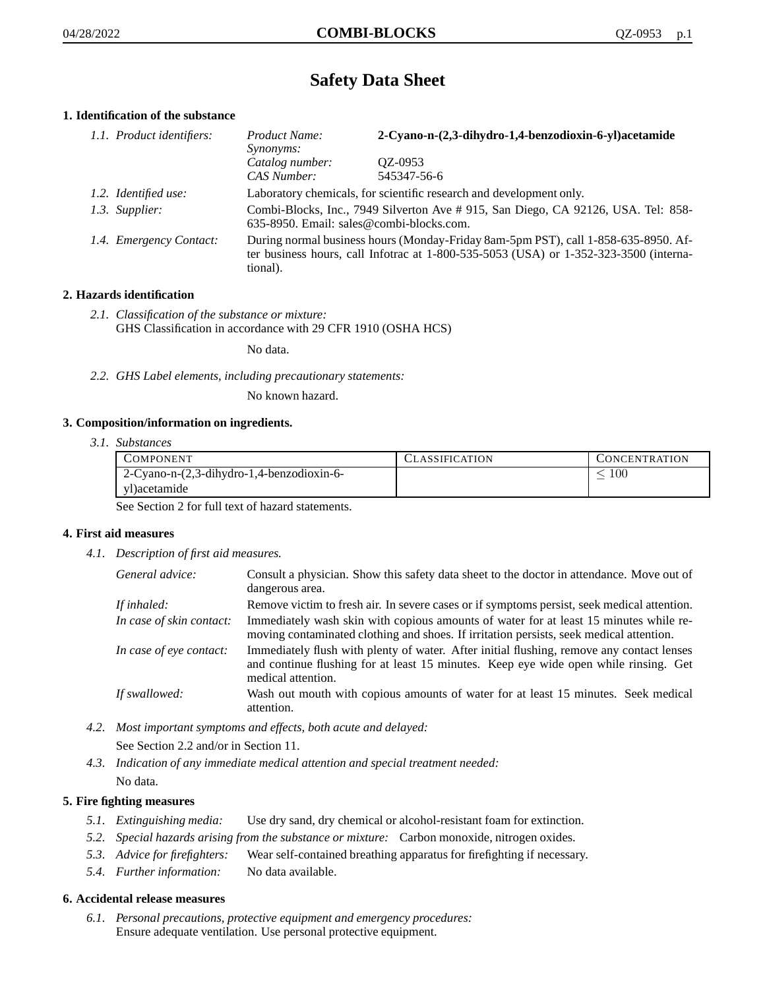# **Safety Data Sheet**

# **1. Identification of the substance**

| 1.1. Product identifiers: | Product Name:<br>Synonyms:     | 2-Cyano-n-(2,3-dihydro-1,4-benzodioxin-6-yl)acetamide                                                                                                                       |  |
|---------------------------|--------------------------------|-----------------------------------------------------------------------------------------------------------------------------------------------------------------------------|--|
|                           | Catalog number:<br>CAS Number: | OZ-0953<br>545347-56-6                                                                                                                                                      |  |
| 1.2. Identified use:      |                                | Laboratory chemicals, for scientific research and development only.                                                                                                         |  |
| 1.3. Supplier:            |                                | Combi-Blocks, Inc., 7949 Silverton Ave # 915, San Diego, CA 92126, USA. Tel: 858-<br>635-8950. Email: sales@combi-blocks.com.                                               |  |
| 1.4. Emergency Contact:   | tional).                       | During normal business hours (Monday-Friday 8am-5pm PST), call 1-858-635-8950. Af-<br>ter business hours, call Infotrac at 1-800-535-5053 (USA) or 1-352-323-3500 (interna- |  |

# **2. Hazards identification**

*2.1. Classification of the substance or mixture:* GHS Classification in accordance with 29 CFR 1910 (OSHA HCS)

No data.

*2.2. GHS Label elements, including precautionary statements:*

No known hazard.

# **3. Composition/information on ingredients.**

*3.1. Substances*

| COMPONENT                                 | <b>LLASSIFICATION</b> | CONCENTRATION |
|-------------------------------------------|-----------------------|---------------|
| 2-Cyano-n-(2,3-dihydro-1,4-benzodioxin-6- |                       | -00           |
| vDacetamide                               |                       |               |

See Section 2 for full text of hazard statements.

## **4. First aid measures**

*4.1. Description of first aid measures.*

| General advice:          | Consult a physician. Show this safety data sheet to the doctor in attendance. Move out of<br>dangerous area.                                                                                            |
|--------------------------|---------------------------------------------------------------------------------------------------------------------------------------------------------------------------------------------------------|
| If inhaled:              | Remove victim to fresh air. In severe cases or if symptoms persist, seek medical attention.                                                                                                             |
| In case of skin contact: | Immediately wash skin with copious amounts of water for at least 15 minutes while re-<br>moving contaminated clothing and shoes. If irritation persists, seek medical attention.                        |
| In case of eye contact:  | Immediately flush with plenty of water. After initial flushing, remove any contact lenses<br>and continue flushing for at least 15 minutes. Keep eye wide open while rinsing. Get<br>medical attention. |
| If swallowed:            | Wash out mouth with copious amounts of water for at least 15 minutes. Seek medical<br>attention.                                                                                                        |

*4.2. Most important symptoms and effects, both acute and delayed:*

See Section 2.2 and/or in Section 11.

*4.3. Indication of any immediate medical attention and special treatment needed:* No data.

## **5. Fire fighting measures**

- *5.1. Extinguishing media:* Use dry sand, dry chemical or alcohol-resistant foam for extinction.
- *5.2. Special hazards arising from the substance or mixture:* Carbon monoxide, nitrogen oxides.
- *5.3. Advice for firefighters:* Wear self-contained breathing apparatus for firefighting if necessary.
- *5.4. Further information:* No data available.

## **6. Accidental release measures**

*6.1. Personal precautions, protective equipment and emergency procedures:* Ensure adequate ventilation. Use personal protective equipment.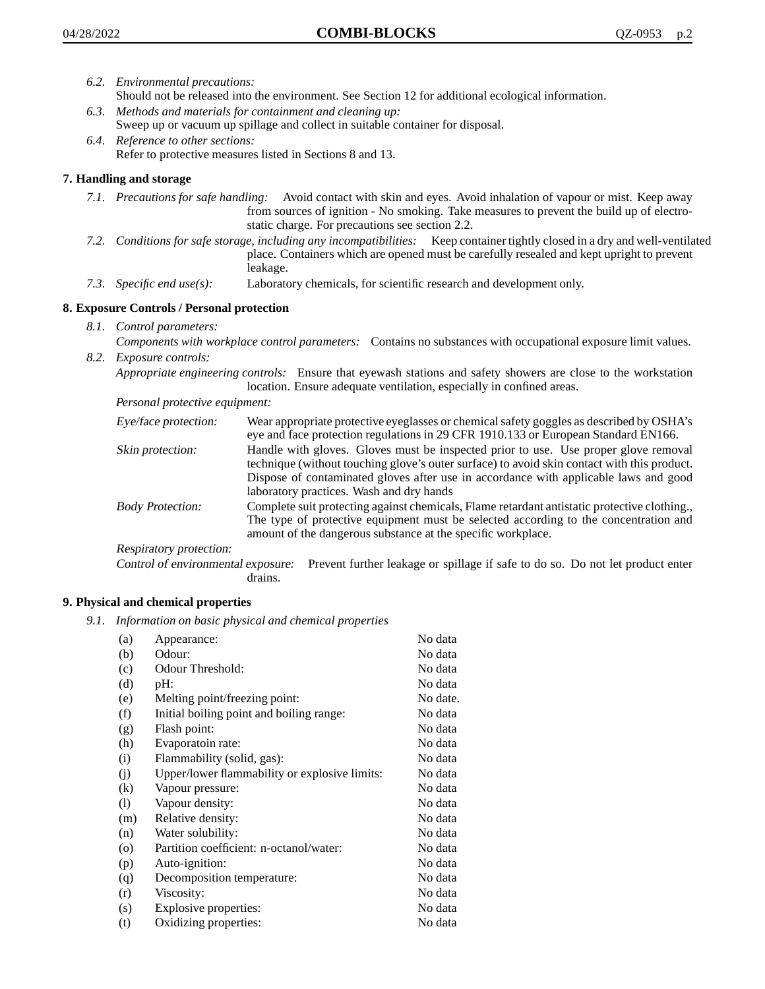- *6.2. Environmental precautions:* Should not be released into the environment. See Section 12 for additional ecological information.
- *6.3. Methods and materials for containment and cleaning up:* Sweep up or vacuum up spillage and collect in suitable container for disposal.
- *6.4. Reference to other sections:* Refer to protective measures listed in Sections 8 and 13.

# **7. Handling and storage**

- *7.1. Precautions for safe handling:* Avoid contact with skin and eyes. Avoid inhalation of vapour or mist. Keep away from sources of ignition - No smoking. Take measures to prevent the build up of electrostatic charge. For precautions see section 2.2.
- *7.2. Conditions for safe storage, including any incompatibilities:* Keep container tightly closed in a dry and well-ventilated place. Containers which are opened must be carefully resealed and kept upright to prevent leakage.
- *7.3. Specific end use(s):* Laboratory chemicals, for scientific research and development only.

# **8. Exposure Controls / Personal protection**

- *8.1. Control parameters:*
- *Components with workplace control parameters:* Contains no substances with occupational exposure limit values. *8.2. Exposure controls:*

*Appropriate engineering controls:* Ensure that eyewash stations and safety showers are close to the workstation location. Ensure adequate ventilation, especially in confined areas.

*Personal protective equipment:*

| Eye/face protection:    | Wear appropriate protective eyeglasses or chemical safety goggles as described by OSHA's<br>eye and face protection regulations in 29 CFR 1910.133 or European Standard EN166.                                                                                                                                         |
|-------------------------|------------------------------------------------------------------------------------------------------------------------------------------------------------------------------------------------------------------------------------------------------------------------------------------------------------------------|
| Skin protection:        | Handle with gloves. Gloves must be inspected prior to use. Use proper glove removal<br>technique (without touching glove's outer surface) to avoid skin contact with this product.<br>Dispose of contaminated gloves after use in accordance with applicable laws and good<br>laboratory practices. Wash and dry hands |
| <b>Body Protection:</b> | Complete suit protecting against chemicals, Flame retardant antistatic protective clothing.,<br>The type of protective equipment must be selected according to the concentration and<br>amount of the dangerous substance at the specific workplace.                                                                   |
| Respiratory protection: |                                                                                                                                                                                                                                                                                                                        |

Control of environmental exposure: Prevent further leakage or spillage if safe to do so. Do not let product enter drains.

# **9. Physical and chemical properties**

*9.1. Information on basic physical and chemical properties*

| (a)               | Appearance:                                   | No data  |
|-------------------|-----------------------------------------------|----------|
| (b)               | Odour:                                        | No data  |
| (c)               | Odour Threshold:                              | No data  |
| (d)               | pH:                                           | No data  |
| (e)               | Melting point/freezing point:                 | No date. |
| (f)               | Initial boiling point and boiling range:      | No data  |
| (g)               | Flash point:                                  | No data  |
| (h)               | Evaporatoin rate:                             | No data  |
| (i)               | Flammability (solid, gas):                    | No data  |
| (j)               | Upper/lower flammability or explosive limits: | No data  |
| $\left( k\right)$ | Vapour pressure:                              | No data  |
| (1)               | Vapour density:                               | No data  |
| (m)               | Relative density:                             | No data  |
| (n)               | Water solubility:                             | No data  |
| $\circ$           | Partition coefficient: n-octanol/water:       | No data  |
| (p)               | Auto-ignition:                                | No data  |
| (q)               | Decomposition temperature:                    | No data  |
| (r)               | Viscosity:                                    | No data  |
| (s)               | Explosive properties:                         | No data  |
| (t)               | Oxidizing properties:                         | No data  |